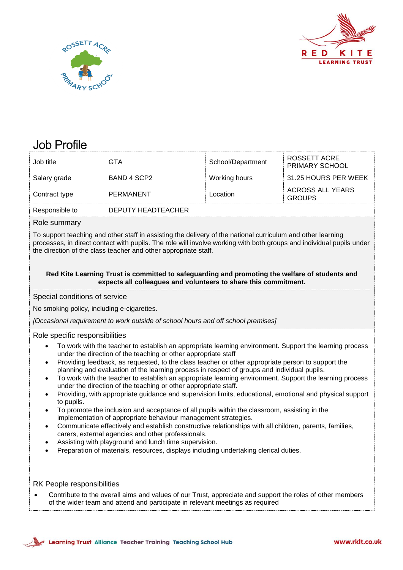



# Job Profile

| Job title                                                                                                                                                                                                                                                                                                                                                                                                                                                                                                                                                                                                                                                                                                                                                                                                                                                                                                                                                                                                                                                                                                                                                                                                                                                                   | <b>GTA</b>                | School/Department | ROSSETT ACRE<br>PRIMARY SCHOOL           |  |  |  |
|-----------------------------------------------------------------------------------------------------------------------------------------------------------------------------------------------------------------------------------------------------------------------------------------------------------------------------------------------------------------------------------------------------------------------------------------------------------------------------------------------------------------------------------------------------------------------------------------------------------------------------------------------------------------------------------------------------------------------------------------------------------------------------------------------------------------------------------------------------------------------------------------------------------------------------------------------------------------------------------------------------------------------------------------------------------------------------------------------------------------------------------------------------------------------------------------------------------------------------------------------------------------------------|---------------------------|-------------------|------------------------------------------|--|--|--|
| Salary grade                                                                                                                                                                                                                                                                                                                                                                                                                                                                                                                                                                                                                                                                                                                                                                                                                                                                                                                                                                                                                                                                                                                                                                                                                                                                | <b>BAND 4 SCP2</b>        | Working hours     | 31.25 HOURS PER WEEK                     |  |  |  |
| Contract type                                                                                                                                                                                                                                                                                                                                                                                                                                                                                                                                                                                                                                                                                                                                                                                                                                                                                                                                                                                                                                                                                                                                                                                                                                                               | <b>PERMANENT</b>          | Location          | <b>ACROSS ALL YEARS</b><br><b>GROUPS</b> |  |  |  |
| Responsible to                                                                                                                                                                                                                                                                                                                                                                                                                                                                                                                                                                                                                                                                                                                                                                                                                                                                                                                                                                                                                                                                                                                                                                                                                                                              | <b>DEPUTY HEADTEACHER</b> |                   |                                          |  |  |  |
| Role summary                                                                                                                                                                                                                                                                                                                                                                                                                                                                                                                                                                                                                                                                                                                                                                                                                                                                                                                                                                                                                                                                                                                                                                                                                                                                |                           |                   |                                          |  |  |  |
| To support teaching and other staff in assisting the delivery of the national curriculum and other learning<br>processes, in direct contact with pupils. The role will involve working with both groups and individual pupils under<br>the direction of the class teacher and other appropriate staff.                                                                                                                                                                                                                                                                                                                                                                                                                                                                                                                                                                                                                                                                                                                                                                                                                                                                                                                                                                      |                           |                   |                                          |  |  |  |
| Red Kite Learning Trust is committed to safeguarding and promoting the welfare of students and<br>expects all colleagues and volunteers to share this commitment.                                                                                                                                                                                                                                                                                                                                                                                                                                                                                                                                                                                                                                                                                                                                                                                                                                                                                                                                                                                                                                                                                                           |                           |                   |                                          |  |  |  |
| Special conditions of service                                                                                                                                                                                                                                                                                                                                                                                                                                                                                                                                                                                                                                                                                                                                                                                                                                                                                                                                                                                                                                                                                                                                                                                                                                               |                           |                   |                                          |  |  |  |
| No smoking policy, including e-cigarettes.                                                                                                                                                                                                                                                                                                                                                                                                                                                                                                                                                                                                                                                                                                                                                                                                                                                                                                                                                                                                                                                                                                                                                                                                                                  |                           |                   |                                          |  |  |  |
| [Occasional requirement to work outside of school hours and off school premises]                                                                                                                                                                                                                                                                                                                                                                                                                                                                                                                                                                                                                                                                                                                                                                                                                                                                                                                                                                                                                                                                                                                                                                                            |                           |                   |                                          |  |  |  |
| Role specific responsibilities<br>To work with the teacher to establish an appropriate learning environment. Support the learning process<br>under the direction of the teaching or other appropriate staff<br>Providing feedback, as requested, to the class teacher or other appropriate person to support the<br>$\bullet$<br>planning and evaluation of the learning process in respect of groups and individual pupils.<br>To work with the teacher to establish an appropriate learning environment. Support the learning process<br>$\bullet$<br>under the direction of the teaching or other appropriate staff.<br>Providing, with appropriate guidance and supervision limits, educational, emotional and physical support<br>$\bullet$<br>to pupils.<br>To promote the inclusion and acceptance of all pupils within the classroom, assisting in the<br>$\bullet$<br>implementation of appropriate behaviour management strategies.<br>Communicate effectively and establish constructive relationships with all children, parents, families,<br>$\bullet$<br>carers, external agencies and other professionals.<br>Assisting with playground and lunch time supervision.<br>Preparation of materials, resources, displays including undertaking clerical duties. |                           |                   |                                          |  |  |  |
| <b>RK People responsibilities</b><br>Contribute to the overall aims and values of our Trust, appreciate and support the roles of other members<br>of the wider team and attend and participate in relevant meetings as required                                                                                                                                                                                                                                                                                                                                                                                                                                                                                                                                                                                                                                                                                                                                                                                                                                                                                                                                                                                                                                             |                           |                   |                                          |  |  |  |

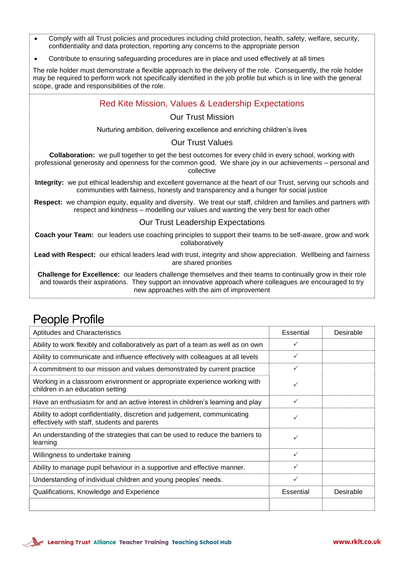- Comply with all Trust policies and procedures including child protection, health, safety, welfare, security, confidentiality and data protection, reporting any concerns to the appropriate person
- Contribute to ensuring safeguarding procedures are in place and used effectively at all times

The role holder must demonstrate a flexible approach to the delivery of the role. Consequently, the role holder may be required to perform work not specifically identified in the job profile but which is in line with the general scope, grade and responsibilities of the role.

### Red Kite Mission, Values & Leadership Expectations

#### Our Trust Mission

Nurturing ambition, delivering excellence and enriching children's lives

#### Our Trust Values

**Collaboration:** we pull together to get the best outcomes for every child in every school, working with professional generosity and openness for the common good. We share joy in our achievements – personal and collective

**Integrity:** we put ethical leadership and excellent governance at the heart of our Trust, serving our schools and communities with fairness, honesty and transparency and a hunger for social justice

**Respect:** we champion equity, equality and diversity. We treat our staff, children and families and partners with respect and kindness – modelling our values and wanting the very best for each other

#### Our Trust Leadership Expectations

**Coach your Team:** our leaders use coaching principles to support their teams to be self-aware, grow and work collaboratively

**Lead with Respect:** our ethical leaders lead with trust, integrity and show appreciation. Wellbeing and fairness are shared priorities

**Challenge for Excellence:** our leaders challenge themselves and their teams to continually grow in their role and towards their aspirations. They support an innovative approach where colleagues are encouraged to try new approaches with the aim of improvement

## People Profile

| <b>Aptitudes and Characteristics</b>                                                                                      | Essential    | Desirable |
|---------------------------------------------------------------------------------------------------------------------------|--------------|-----------|
| Ability to work flexibly and collaboratively as part of a team as well as on own                                          | ✓            |           |
| Ability to communicate and influence effectively with colleagues at all levels                                            | $\checkmark$ |           |
| A commitment to our mission and values demonstrated by current practice                                                   | ✓            |           |
| Working in a classroom environment or appropriate experience working with<br>children in an education setting             | ✓            |           |
| Have an enthusiasm for and an active interest in children's learning and play                                             | ✓            |           |
| Ability to adopt confidentiality, discretion and judgement, communicating<br>effectively with staff, students and parents | ✓            |           |
| An understanding of the strategies that can be used to reduce the barriers to<br>learning                                 | ✓            |           |
| Willingness to undertake training                                                                                         | $\checkmark$ |           |
| Ability to manage pupil behaviour in a supportive and effective manner.                                                   | ✓            |           |
| Understanding of individual children and young peoples' needs.                                                            | ✓            |           |
| Qualifications, Knowledge and Experience                                                                                  | Essential    | Desirable |
|                                                                                                                           |              |           |